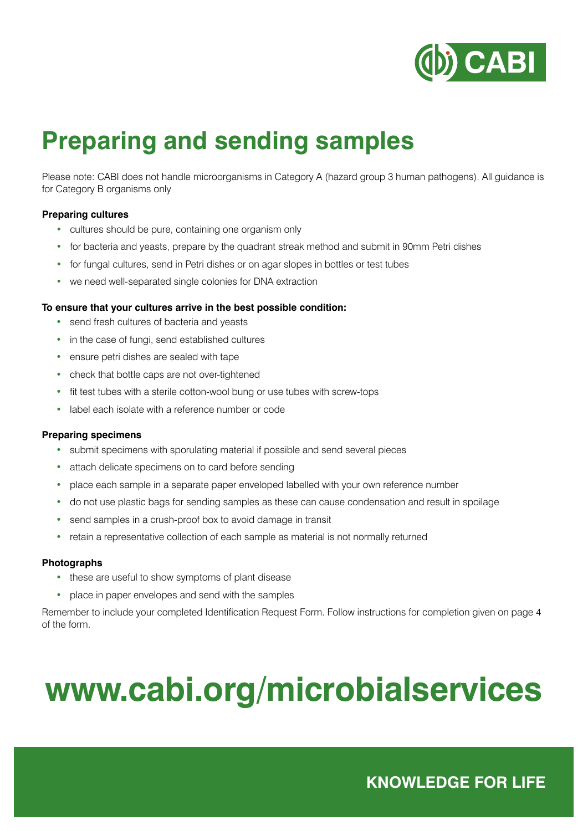

### **Preparing and sending samples**

Please note: CABI does not handle microorganisms in Category A (hazard group 3 human pathogens). All guidance is for Category B organisms only

#### **Preparing cultures**

- cultures should be pure, containing one organism only
- for bacteria and yeasts, prepare by the quadrant streak method and submit in 90mm Petri dishes
- for fungal cultures, send in Petri dishes or on agar slopes in bottles or test tubes
- we need well-separated single colonies for DNA extraction

#### **To ensure that your cultures arrive in the best possible condition:**

- send fresh cultures of bacteria and yeasts
- in the case of fungi, send established cultures
- ensure petri dishes are sealed with tape
- check that bottle caps are not over-tightened
- fit test tubes with a sterile cotton-wool bung or use tubes with screw-tops
- label each isolate with a reference number or code

#### **Preparing specimens**

- submit specimens with sporulating material if possible and send several pieces
- attach delicate specimens on to card before sending
- place each sample in a separate paper enveloped labelled with your own reference number
- do not use plastic bags for sending samples as these can cause condensation and result in spoilage
- send samples in a crush-proof box to avoid damage in transit
- retain a representative collection of each sample as material is not normally returned

#### **Photographs**

- these are useful to show symptoms of plant disease
- place in paper envelopes and send with the samples

Remember to include your completed Identification Request Form. Follow instructions for completion given on page 4 of the form.

# **www.cabi.org/microbialservices**